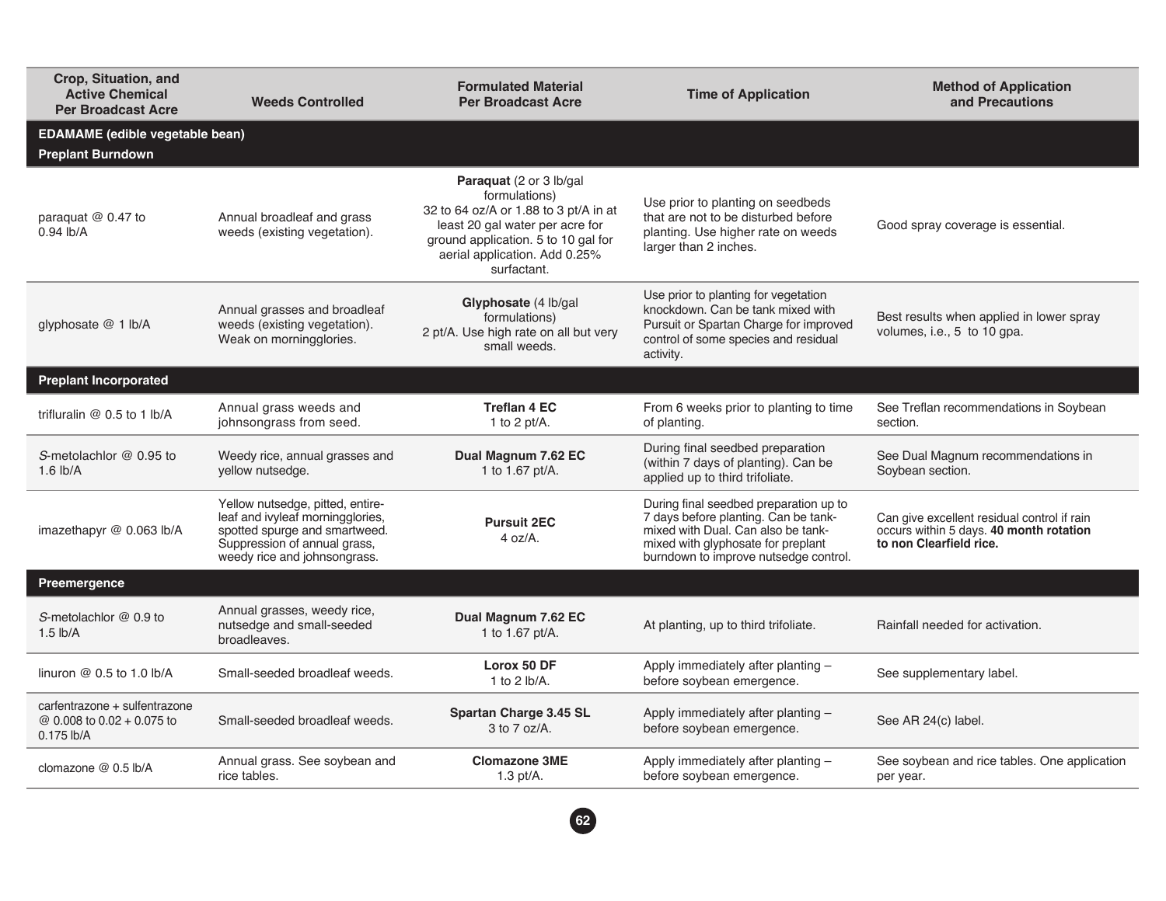| Crop, Situation, and<br><b>Active Chemical</b><br><b>Per Broadcast Acre</b> | <b>Weeds Controlled</b>                                                                                                                                               | <b>Formulated Material</b><br><b>Per Broadcast Acre</b>                                                                                                                                                     | <b>Time of Application</b>                                                                                                                                                                          | <b>Method of Application</b><br>and Precautions                                                                   |  |  |  |  |
|-----------------------------------------------------------------------------|-----------------------------------------------------------------------------------------------------------------------------------------------------------------------|-------------------------------------------------------------------------------------------------------------------------------------------------------------------------------------------------------------|-----------------------------------------------------------------------------------------------------------------------------------------------------------------------------------------------------|-------------------------------------------------------------------------------------------------------------------|--|--|--|--|
| <b>EDAMAME</b> (edible vegetable bean)<br><b>Preplant Burndown</b>          |                                                                                                                                                                       |                                                                                                                                                                                                             |                                                                                                                                                                                                     |                                                                                                                   |  |  |  |  |
| paraquat $@$ 0.47 to<br>$0.94$ lb/A                                         | Annual broadleaf and grass<br>weeds (existing vegetation).                                                                                                            | Paraquat (2 or 3 lb/gal<br>formulations)<br>32 to 64 oz/A or 1.88 to 3 pt/A in at<br>least 20 gal water per acre for<br>ground application. 5 to 10 gal for<br>aerial application. Add 0.25%<br>surfactant. | Use prior to planting on seedbeds<br>that are not to be disturbed before<br>planting. Use higher rate on weeds<br>larger than 2 inches.                                                             | Good spray coverage is essential.                                                                                 |  |  |  |  |
| glyphosate @ 1 lb/A                                                         | Annual grasses and broadleaf<br>weeds (existing vegetation).<br>Weak on morningglories.                                                                               | Glyphosate (4 lb/gal<br>formulations)<br>2 pt/A. Use high rate on all but very<br>small weeds.                                                                                                              | Use prior to planting for vegetation<br>knockdown. Can be tank mixed with<br>Pursuit or Spartan Charge for improved<br>control of some species and residual<br>activity.                            | Best results when applied in lower spray<br>volumes, i.e., 5 to 10 gpa.                                           |  |  |  |  |
| <b>Preplant Incorporated</b>                                                |                                                                                                                                                                       |                                                                                                                                                                                                             |                                                                                                                                                                                                     |                                                                                                                   |  |  |  |  |
| trifluralin $@$ 0.5 to 1 lb/A                                               | Annual grass weeds and<br>johnsongrass from seed.                                                                                                                     | <b>Treflan 4 EC</b><br>1 to 2 pt/A.                                                                                                                                                                         | From 6 weeks prior to planting to time<br>of planting.                                                                                                                                              | See Treflan recommendations in Soybean<br>section.                                                                |  |  |  |  |
| S-metolachlor @ 0.95 to<br>$1.6$ lb/A                                       | Weedy rice, annual grasses and<br>yellow nutsedge.                                                                                                                    | Dual Magnum 7.62 EC<br>1 to 1.67 pt/A.                                                                                                                                                                      | During final seedbed preparation<br>(within 7 days of planting). Can be<br>applied up to third trifoliate.                                                                                          | See Dual Magnum recommendations in<br>Soybean section.                                                            |  |  |  |  |
| imazethapyr @ 0.063 lb/A                                                    | Yellow nutsedge, pitted, entire-<br>leaf and ivyleaf morningglories,<br>spotted spurge and smartweed.<br>Suppression of annual grass,<br>weedy rice and johnsongrass. | <b>Pursuit 2EC</b><br>$4 oz/A$ .                                                                                                                                                                            | During final seedbed preparation up to<br>7 days before planting. Can be tank-<br>mixed with Dual. Can also be tank-<br>mixed with glyphosate for preplant<br>burndown to improve nutsedge control. | Can give excellent residual control if rain<br>occurs within 5 days. 40 month rotation<br>to non Clearfield rice. |  |  |  |  |
| Preemergence                                                                |                                                                                                                                                                       |                                                                                                                                                                                                             |                                                                                                                                                                                                     |                                                                                                                   |  |  |  |  |
| S-metolachlor @ 0.9 to<br>$1.5$ lb/A                                        | Annual grasses, weedy rice,<br>nutsedge and small-seeded<br>broadleaves.                                                                                              | Dual Magnum 7.62 EC<br>1 to 1.67 pt/A.                                                                                                                                                                      | At planting, up to third trifoliate.                                                                                                                                                                | Rainfall needed for activation.                                                                                   |  |  |  |  |
| linuron $@$ 0.5 to 1.0 lb/A                                                 | Small-seeded broadleaf weeds.                                                                                                                                         | Lorox 50 DF<br>1 to 2 $lb/A$ .                                                                                                                                                                              | Apply immediately after planting -<br>before soybean emergence.                                                                                                                                     | See supplementary label.                                                                                          |  |  |  |  |
| carfentrazone + sulfentrazone<br>@ 0.008 to 0.02 + 0.075 to<br>$0.175$ lb/A | Small-seeded broadleaf weeds.                                                                                                                                         | Spartan Charge 3.45 SL<br>3 to 7 oz/A.                                                                                                                                                                      | Apply immediately after planting -<br>before soybean emergence.                                                                                                                                     | See AR 24(c) label.                                                                                               |  |  |  |  |
| clomazone $@$ 0.5 lb/A                                                      | Annual grass. See soybean and<br>rice tables.                                                                                                                         | <b>Clomazone 3ME</b><br>$1.3$ pt/A.                                                                                                                                                                         | Apply immediately after planting -<br>before soybean emergence.                                                                                                                                     | See soybean and rice tables. One application<br>per year.                                                         |  |  |  |  |
|                                                                             |                                                                                                                                                                       |                                                                                                                                                                                                             |                                                                                                                                                                                                     |                                                                                                                   |  |  |  |  |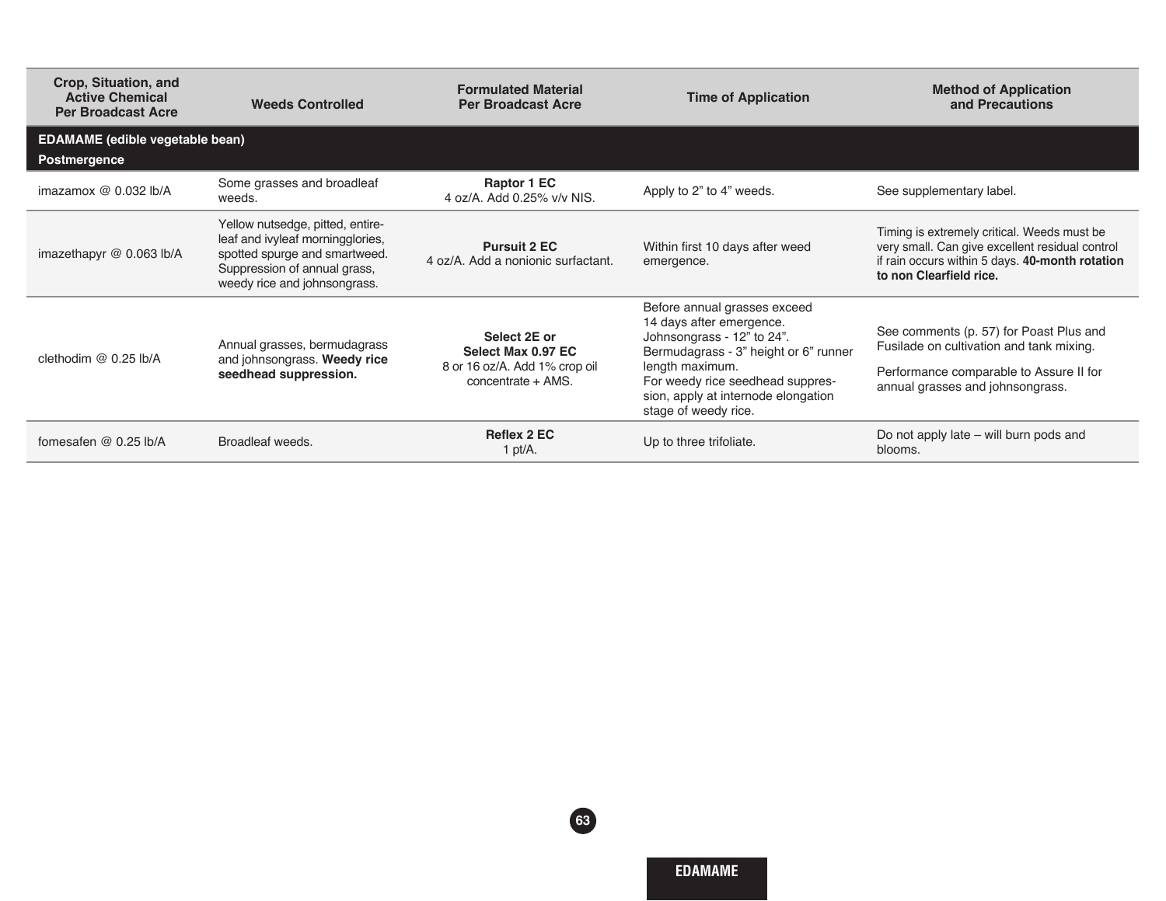| Crop, Situation, and<br><b>Active Chemical</b><br><b>Per Broadcast Acre</b> | <b>Weeds Controlled</b>                                                                                                                                               | <b>Formulated Material</b><br><b>Per Broadcast Acre</b>                                   | <b>Time of Application</b>                                                                                                                                                                                                                            | <b>Method of Application</b><br>and Precautions                                                                                                                              |  |  |  |  |
|-----------------------------------------------------------------------------|-----------------------------------------------------------------------------------------------------------------------------------------------------------------------|-------------------------------------------------------------------------------------------|-------------------------------------------------------------------------------------------------------------------------------------------------------------------------------------------------------------------------------------------------------|------------------------------------------------------------------------------------------------------------------------------------------------------------------------------|--|--|--|--|
| <b>EDAMAME</b> (edible vegetable bean)<br>Postmergence                      |                                                                                                                                                                       |                                                                                           |                                                                                                                                                                                                                                                       |                                                                                                                                                                              |  |  |  |  |
| imazamox $@$ 0.032 lb/A                                                     | Some grasses and broadleaf<br>weeds.                                                                                                                                  | Raptor 1 EC<br>4 oz/A. Add 0.25% v/v NIS.                                                 | Apply to 2" to 4" weeds.                                                                                                                                                                                                                              | See supplementary label.                                                                                                                                                     |  |  |  |  |
| imazethapyr @ 0.063 lb/A                                                    | Yellow nutsedge, pitted, entire-<br>leaf and ivyleaf morningglories,<br>spotted spurge and smartweed.<br>Suppression of annual grass,<br>weedy rice and johnsongrass. | <b>Pursuit 2 EC</b><br>4 oz/A. Add a nonionic surfactant.                                 | Within first 10 days after weed<br>emergence.                                                                                                                                                                                                         | Timing is extremely critical. Weeds must be<br>very small. Can give excellent residual control<br>if rain occurs within 5 days. 40-month rotation<br>to non Clearfield rice. |  |  |  |  |
| clethodim $@$ 0.25 lb/A                                                     | Annual grasses, bermudagrass<br>and johnsongrass. Weedy rice<br>seedhead suppression.                                                                                 | Select 2E or<br>Select Max 0.97 EC<br>8 or 16 oz/A. Add 1% crop oil<br>concentrate + AMS. | Before annual grasses exceed<br>14 days after emergence.<br>Johnsongrass - 12" to 24".<br>Bermudagrass - 3" height or 6" runner<br>length maximum.<br>For weedy rice seedhead suppres-<br>sion, apply at internode elongation<br>stage of weedy rice. | See comments (p. 57) for Poast Plus and<br>Fusilade on cultivation and tank mixing.<br>Performance comparable to Assure II for<br>annual grasses and johnsongrass.           |  |  |  |  |
| fomesafen @ $0.25$ lb/A                                                     | Broadleaf weeds.                                                                                                                                                      | <b>Reflex 2 EC</b><br>1 pt/ $A$ .                                                         | Up to three trifoliate.                                                                                                                                                                                                                               | Do not apply late – will burn pods and<br>blooms.                                                                                                                            |  |  |  |  |

**63**